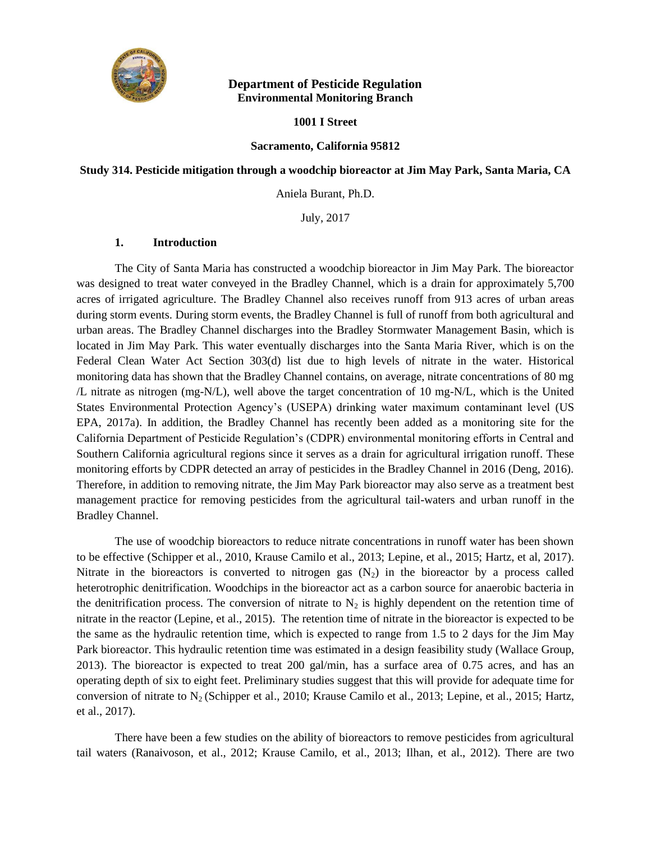

## **Department of Pesticide Regulation Environmental Monitoring Branch**

### **1001 I Street**

### **Sacramento, California 95812**

## **Study 314. Pesticide mitigation through a woodchip bioreactor at Jim May Park, Santa Maria, CA**

Aniela Burant, Ph.D.

July, 2017

### **1. Introduction**

The City of Santa Maria has constructed a woodchip bioreactor in Jim May Park. The bioreactor was designed to treat water conveyed in the Bradley Channel, which is a drain for approximately 5,700 acres of irrigated agriculture. The Bradley Channel also receives runoff from 913 acres of urban areas during storm events. During storm events, the Bradley Channel is full of runoff from both agricultural and urban areas. The Bradley Channel discharges into the Bradley Stormwater Management Basin, which is located in Jim May Park. This water eventually discharges into the Santa Maria River, which is on the Federal Clean Water Act Section 303(d) list due to high levels of nitrate in the water. Historical monitoring data has shown that the Bradley Channel contains, on average, nitrate concentrations of 80 mg /L nitrate as nitrogen (mg-N/L), well above the target concentration of 10 mg-N/L, which is the United States Environmental Protection Agency's (USEPA) drinking water maximum contaminant level (US EPA, 2017a). In addition, the Bradley Channel has recently been added as a monitoring site for the California Department of Pesticide Regulation's (CDPR) environmental monitoring efforts in Central and Southern California agricultural regions since it serves as a drain for agricultural irrigation runoff. These monitoring efforts by CDPR detected an array of pesticides in the Bradley Channel in 2016 (Deng, 2016). Therefore, in addition to removing nitrate, the Jim May Park bioreactor may also serve as a treatment best management practice for removing pesticides from the agricultural tail-waters and urban runoff in the Bradley Channel.

The use of woodchip bioreactors to reduce nitrate concentrations in runoff water has been shown to be effective (Schipper et al., 2010, Krause Camilo et al., 2013; Lepine, et al., 2015; Hartz, et al, 2017). Nitrate in the bioreactors is converted to nitrogen gas  $(N_2)$  in the bioreactor by a process called heterotrophic denitrification. Woodchips in the bioreactor act as a carbon source for anaerobic bacteria in the denitrification process. The conversion of nitrate to  $N_2$  is highly dependent on the retention time of nitrate in the reactor (Lepine, et al., 2015). The retention time of nitrate in the bioreactor is expected to be the same as the hydraulic retention time, which is expected to range from 1.5 to 2 days for the Jim May Park bioreactor. This hydraulic retention time was estimated in a design feasibility study (Wallace Group, 2013). The bioreactor is expected to treat 200 gal/min, has a surface area of 0.75 acres, and has an operating depth of six to eight feet. Preliminary studies suggest that this will provide for adequate time for conversion of nitrate to  $N_2$  (Schipper et al., 2010; Krause Camilo et al., 2013; Lepine, et al., 2015; Hartz, et al., 2017).

There have been a few studies on the ability of bioreactors to remove pesticides from agricultural tail waters (Ranaivoson, et al., 2012; Krause Camilo, et al., 2013; Ilhan, et al., 2012). There are two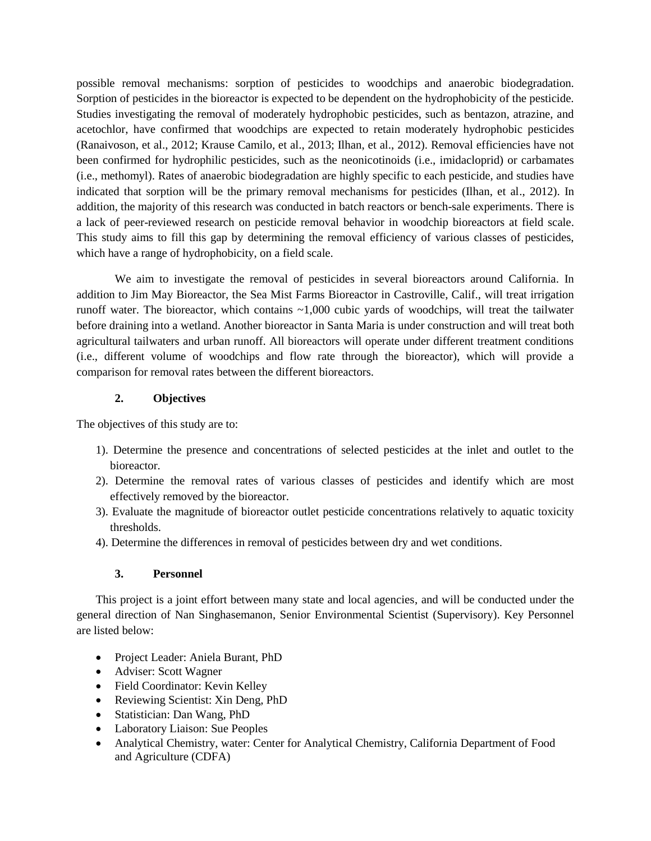possible removal mechanisms: sorption of pesticides to woodchips and anaerobic biodegradation. Sorption of pesticides in the bioreactor is expected to be dependent on the hydrophobicity of the pesticide. Studies investigating the removal of moderately hydrophobic pesticides, such as bentazon, atrazine, and acetochlor, have confirmed that woodchips are expected to retain moderately hydrophobic pesticides (Ranaivoson, et al., 2012; Krause Camilo, et al., 2013; Ilhan, et al., 2012). Removal efficiencies have not been confirmed for hydrophilic pesticides, such as the neonicotinoids (i.e., imidacloprid) or carbamates (i.e., methomyl). Rates of anaerobic biodegradation are highly specific to each pesticide, and studies have indicated that sorption will be the primary removal mechanisms for pesticides (Ilhan, et al., 2012). In addition, the majority of this research was conducted in batch reactors or bench-sale experiments. There is a lack of peer-reviewed research on pesticide removal behavior in woodchip bioreactors at field scale. This study aims to fill this gap by determining the removal efficiency of various classes of pesticides, which have a range of hydrophobicity, on a field scale.

We aim to investigate the removal of pesticides in several bioreactors around California. In addition to Jim May Bioreactor, the Sea Mist Farms Bioreactor in Castroville, Calif., will treat irrigation runoff water. The bioreactor, which contains ~1,000 cubic yards of woodchips, will treat the tailwater before draining into a wetland. Another bioreactor in Santa Maria is under construction and will treat both agricultural tailwaters and urban runoff. All bioreactors will operate under different treatment conditions (i.e., different volume of woodchips and flow rate through the bioreactor), which will provide a comparison for removal rates between the different bioreactors.

## **2. Objectives**

The objectives of this study are to:

- 1). Determine the presence and concentrations of selected pesticides at the inlet and outlet to the bioreactor.
- 2). Determine the removal rates of various classes of pesticides and identify which are most effectively removed by the bioreactor.
- 3). Evaluate the magnitude of bioreactor outlet pesticide concentrations relatively to aquatic toxicity thresholds.
- 4). Determine the differences in removal of pesticides between dry and wet conditions.

## **3. Personnel**

This project is a joint effort between many state and local agencies, and will be conducted under the general direction of Nan Singhasemanon, Senior Environmental Scientist (Supervisory). Key Personnel are listed below:

- Project Leader: Aniela Burant, PhD
- Adviser: Scott Wagner
- Field Coordinator: Kevin Kelley
- Reviewing Scientist: Xin Deng, PhD
- Statistician: Dan Wang, PhD
- Laboratory Liaison: Sue Peoples
- Analytical Chemistry, water: Center for Analytical Chemistry, California Department of Food and Agriculture (CDFA)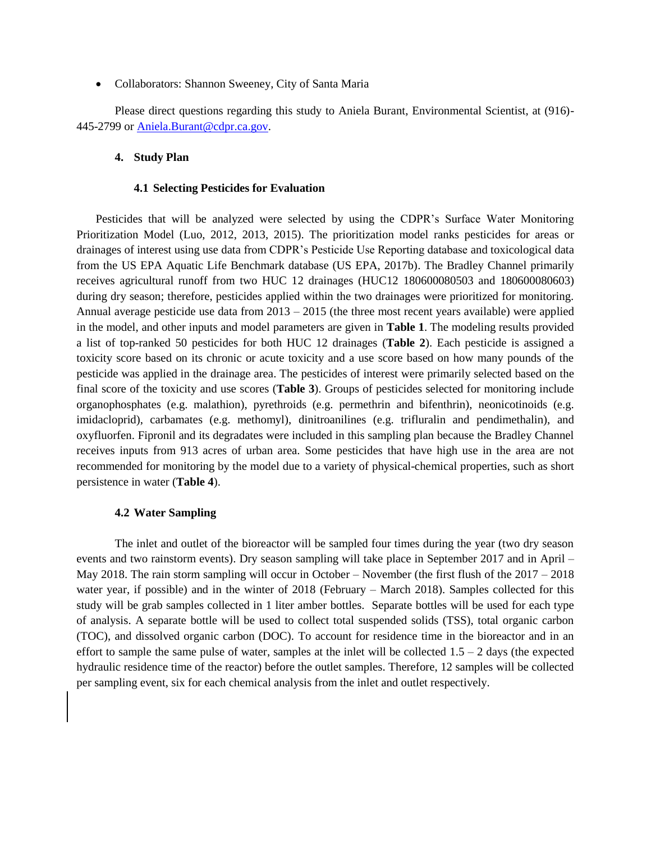• Collaborators: Shannon Sweeney, City of Santa Maria

Please direct questions regarding this study to Aniela Burant, Environmental Scientist, at (916)- 445-2799 or [Aniela.Burant@cdpr.ca.gov.](mailto:Aniela.Burant@cdpr.ca.gov)

### **4. Study Plan**

#### **4.1 Selecting Pesticides for Evaluation**

Pesticides that will be analyzed were selected by using the CDPR's Surface Water Monitoring Prioritization Model (Luo, 2012, 2013, 2015). The prioritization model ranks pesticides for areas or drainages of interest using use data from CDPR's Pesticide Use Reporting database and toxicological data from the US EPA Aquatic Life Benchmark database (US EPA, 2017b). The Bradley Channel primarily receives agricultural runoff from two HUC 12 drainages (HUC12 180600080503 and 180600080603) during dry season; therefore, pesticides applied within the two drainages were prioritized for monitoring. Annual average pesticide use data from 2013 – 2015 (the three most recent years available) were applied in the model, and other inputs and model parameters are given in **Table 1**. The modeling results provided a list of top-ranked 50 pesticides for both HUC 12 drainages (**Table 2**). Each pesticide is assigned a toxicity score based on its chronic or acute toxicity and a use score based on how many pounds of the pesticide was applied in the drainage area. The pesticides of interest were primarily selected based on the final score of the toxicity and use scores (**Table 3**). Groups of pesticides selected for monitoring include organophosphates (e.g. malathion), pyrethroids (e.g. permethrin and bifenthrin), neonicotinoids (e.g. imidacloprid), carbamates (e.g. methomyl), dinitroanilines (e.g. trifluralin and pendimethalin), and oxyfluorfen. Fipronil and its degradates were included in this sampling plan because the Bradley Channel receives inputs from 913 acres of urban area. Some pesticides that have high use in the area are not recommended for monitoring by the model due to a variety of physical-chemical properties, such as short persistence in water (**Table 4**).

#### **4.2 Water Sampling**

The inlet and outlet of the bioreactor will be sampled four times during the year (two dry season events and two rainstorm events). Dry season sampling will take place in September 2017 and in April – May 2018. The rain storm sampling will occur in October – November (the first flush of the 2017 – 2018 water year, if possible) and in the winter of 2018 (February – March 2018). Samples collected for this study will be grab samples collected in 1 liter amber bottles. Separate bottles will be used for each type of analysis. A separate bottle will be used to collect total suspended solids (TSS), total organic carbon (TOC), and dissolved organic carbon (DOC). To account for residence time in the bioreactor and in an effort to sample the same pulse of water, samples at the inlet will be collected  $1.5 - 2$  days (the expected hydraulic residence time of the reactor) before the outlet samples. Therefore, 12 samples will be collected per sampling event, six for each chemical analysis from the inlet and outlet respectively.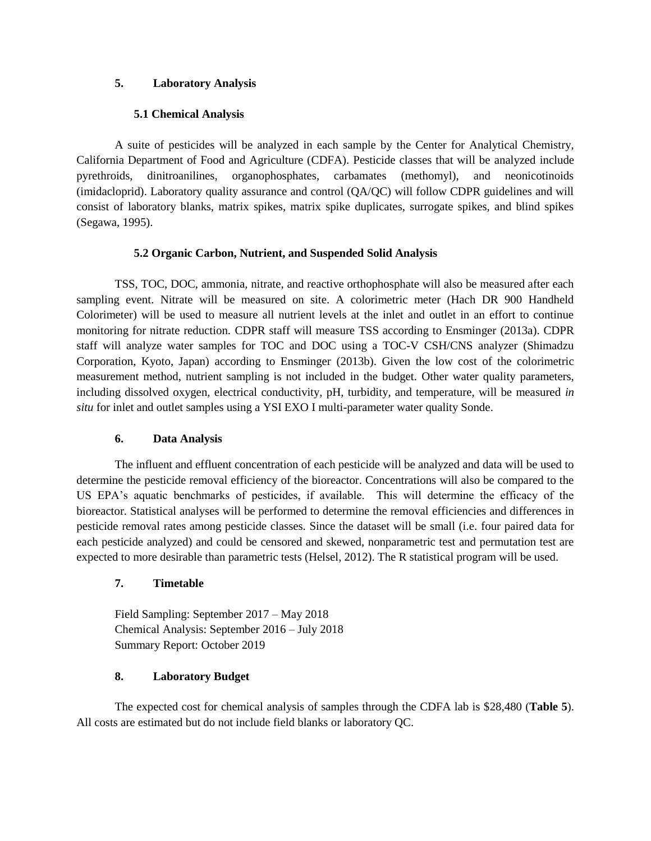## **5. Laboratory Analysis**

## **5.1 Chemical Analysis**

A suite of pesticides will be analyzed in each sample by the Center for Analytical Chemistry, California Department of Food and Agriculture (CDFA). Pesticide classes that will be analyzed include pyrethroids, dinitroanilines, organophosphates, carbamates (methomyl), and neonicotinoids (imidacloprid). Laboratory quality assurance and control (QA/QC) will follow CDPR guidelines and will consist of laboratory blanks, matrix spikes, matrix spike duplicates, surrogate spikes, and blind spikes (Segawa, 1995).

## **5.2 Organic Carbon, Nutrient, and Suspended Solid Analysis**

TSS, TOC, DOC, ammonia, nitrate, and reactive orthophosphate will also be measured after each sampling event. Nitrate will be measured on site. A colorimetric meter (Hach DR 900 Handheld Colorimeter) will be used to measure all nutrient levels at the inlet and outlet in an effort to continue monitoring for nitrate reduction. CDPR staff will measure TSS according to Ensminger (2013a). CDPR staff will analyze water samples for TOC and DOC using a TOC-V CSH/CNS analyzer (Shimadzu Corporation, Kyoto, Japan) according to Ensminger (2013b). Given the low cost of the colorimetric measurement method, nutrient sampling is not included in the budget. Other water quality parameters, including dissolved oxygen, electrical conductivity, pH, turbidity, and temperature, will be measured *in situ* for inlet and outlet samples using a YSI EXO I multi-parameter water quality Sonde.

# **6. Data Analysis**

The influent and effluent concentration of each pesticide will be analyzed and data will be used to determine the pesticide removal efficiency of the bioreactor. Concentrations will also be compared to the US EPA's aquatic benchmarks of pesticides, if available. This will determine the efficacy of the bioreactor. Statistical analyses will be performed to determine the removal efficiencies and differences in pesticide removal rates among pesticide classes. Since the dataset will be small (i.e. four paired data for each pesticide analyzed) and could be censored and skewed, nonparametric test and permutation test are expected to more desirable than parametric tests (Helsel, 2012). The R statistical program will be used.

# **7. Timetable**

Field Sampling: September 2017 – May 2018 Chemical Analysis: September 2016 – July 2018 Summary Report: October 2019

# **8. Laboratory Budget**

The expected cost for chemical analysis of samples through the CDFA lab is \$28,480 (**Table 5**). All costs are estimated but do not include field blanks or laboratory QC.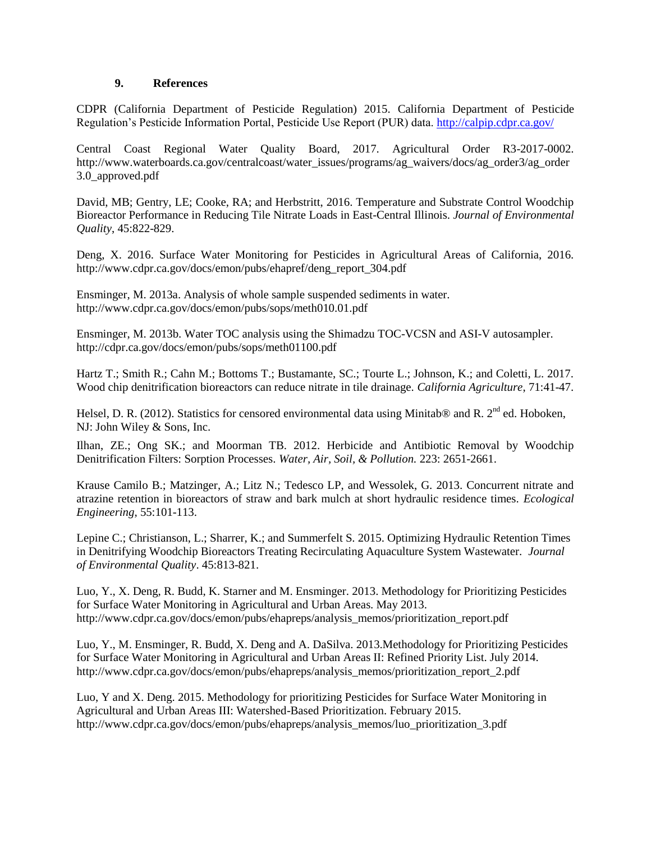## **9. References**

CDPR (California Department of Pesticide Regulation) 2015. California Department of Pesticide Regulation's Pesticide Information Portal, Pesticide Use Report (PUR) data.<http://calpip.cdpr.ca.gov/>

Central Coast Regional Water Quality Board, 2017. Agricultural Order R3-2017-0002. http://www.waterboards.ca.gov/centralcoast/water\_issues/programs/ag\_waivers/docs/ag\_order3/ag\_order 3.0\_approved.pdf

David, MB; Gentry, LE; Cooke, RA; and Herbstritt, 2016. Temperature and Substrate Control Woodchip Bioreactor Performance in Reducing Tile Nitrate Loads in East-Central Illinois. *Journal of Environmental Quality*, 45:822-829.

Deng, X. 2016. Surface Water Monitoring for Pesticides in Agricultural Areas of California, 2016. http://www.cdpr.ca.gov/docs/emon/pubs/ehapref/deng\_report\_304.pdf

Ensminger, M. 2013a. Analysis of whole sample suspended sediments in water. http://www.cdpr.ca.gov/docs/emon/pubs/sops/meth010.01.pdf

Ensminger, M. 2013b. Water TOC analysis using the Shimadzu TOC-VCSN and ASI-V autosampler. http://cdpr.ca.gov/docs/emon/pubs/sops/meth01100.pdf

Hartz T.; Smith R.; Cahn M.; Bottoms T.; Bustamante, SC.; Tourte L.; Johnson, K.; and Coletti, L. 2017. Wood chip denitrification bioreactors can reduce nitrate in tile drainage. *California Agriculture*, 71:41-47.

Helsel, D. R. (2012). Statistics for censored environmental data using Minitab® and R.  $2^{nd}$  ed. Hoboken, NJ: John Wiley & Sons, Inc.

Ilhan, ZE.; Ong SK.; and Moorman TB. 2012. Herbicide and Antibiotic Removal by Woodchip Denitrification Filters: Sorption Processes. *Water, Air, Soil, & Pollution.* 223: 2651-2661.

Krause Camilo B.; Matzinger, A.; Litz N.; Tedesco LP, and Wessolek, G. 2013. Concurrent nitrate and atrazine retention in bioreactors of straw and bark mulch at short hydraulic residence times. *Ecological Engineering*, 55:101-113.

Lepine C.; Christianson, L.; Sharrer, K.; and Summerfelt S. 2015. Optimizing Hydraulic Retention Times in Denitrifying Woodchip Bioreactors Treating Recirculating Aquaculture System Wastewater. *Journal of Environmental Quality*. 45:813-821.

Luo, Y., X. Deng, R. Budd, K. Starner and M. Ensminger. 2013. Methodology for Prioritizing Pesticides for Surface Water Monitoring in Agricultural and Urban Areas. May 2013. http://www.cdpr.ca.gov/docs/emon/pubs/ehapreps/analysis\_memos/prioritization\_report.pdf

Luo, Y., M. Ensminger, R. Budd, X. Deng and A. DaSilva. 2013.Methodology for Prioritizing Pesticides for Surface Water Monitoring in Agricultural and Urban Areas II: Refined Priority List. July 2014. http://www.cdpr.ca.gov/docs/emon/pubs/ehapreps/analysis\_memos/prioritization\_report\_2.pdf

Luo, Y and X. Deng. 2015. Methodology for prioritizing Pesticides for Surface Water Monitoring in Agricultural and Urban Areas III: Watershed-Based Prioritization. February 2015. http://www.cdpr.ca.gov/docs/emon/pubs/ehapreps/analysis\_memos/luo\_prioritization\_3.pdf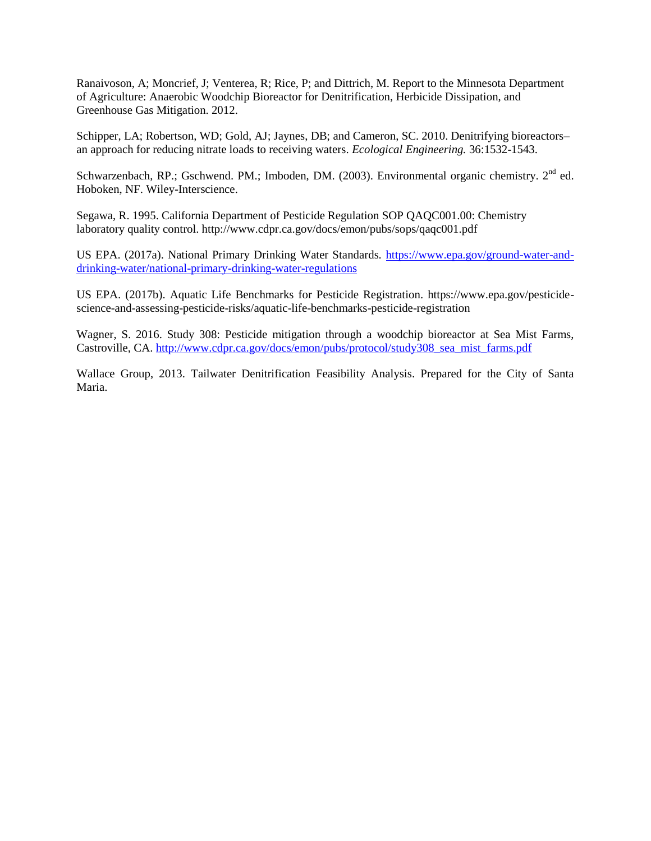Ranaivoson, A; Moncrief, J; Venterea, R; Rice, P; and Dittrich, M. Report to the Minnesota Department of Agriculture: Anaerobic Woodchip Bioreactor for Denitrification, Herbicide Dissipation, and Greenhouse Gas Mitigation. 2012.

Schipper, LA; Robertson, WD; Gold, AJ; Jaynes, DB; and Cameron, SC. 2010. Denitrifying bioreactors– an approach for reducing nitrate loads to receiving waters. *Ecological Engineering.* 36:1532-1543.

Schwarzenbach, RP.; Gschwend. PM.; Imboden, DM. (2003). Environmental organic chemistry. 2<sup>nd</sup> ed. Hoboken, NF. Wiley-Interscience.

Segawa, R. 1995. California Department of Pesticide Regulation SOP QAQC001.00: Chemistry laboratory quality control. http://www.cdpr.ca.gov/docs/emon/pubs/sops/qaqc001.pdf

US EPA. (2017a). National Primary Drinking Water Standards. [https://www.epa.gov/ground-water-and](https://www.epa.gov/ground-water-and-drinking-water/national-primary-drinking-water-regulations)[drinking-water/national-primary-drinking-water-regulations](https://www.epa.gov/ground-water-and-drinking-water/national-primary-drinking-water-regulations)

US EPA. (2017b). Aquatic Life Benchmarks for Pesticide Registration. https://www.epa.gov/pesticidescience-and-assessing-pesticide-risks/aquatic-life-benchmarks-pesticide-registration

Wagner, S. 2016. Study 308: Pesticide mitigation through a woodchip bioreactor at Sea Mist Farms, Castroville, CA. [http://www.cdpr.ca.gov/docs/emon/pubs/protocol/study308\\_sea\\_mist\\_farms.pdf](http://www.cdpr.ca.gov/docs/emon/pubs/protocol/study308_sea_mist_farms.pdf)

Wallace Group, 2013. Tailwater Denitrification Feasibility Analysis. Prepared for the City of Santa Maria.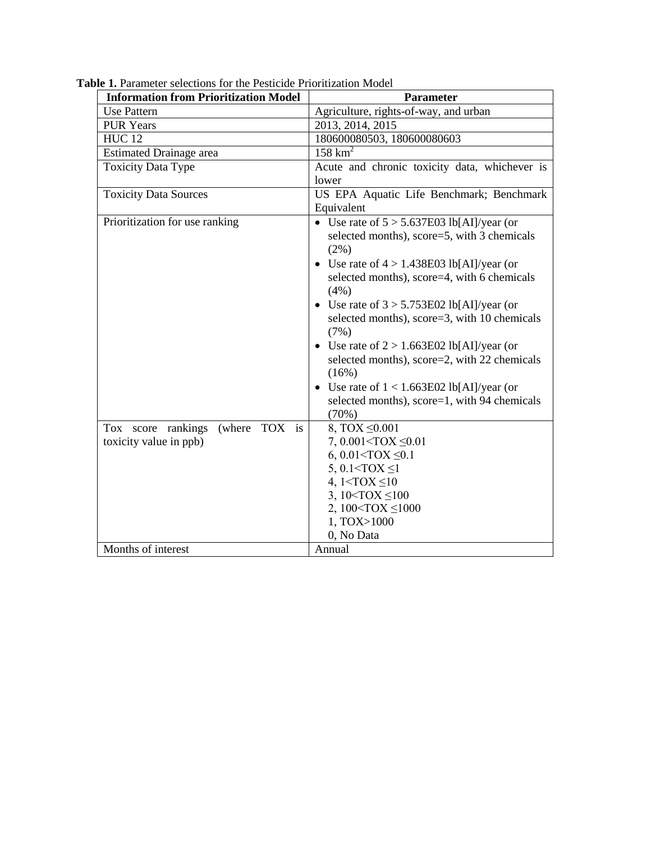| <b>Information from Prioritization Model</b>                                                       | <b>Parameter</b>                                                                                                                                                                                                                                                                                                                                                                                                                                                                                                                                                                                                                                                                                                                                                                                                            |
|----------------------------------------------------------------------------------------------------|-----------------------------------------------------------------------------------------------------------------------------------------------------------------------------------------------------------------------------------------------------------------------------------------------------------------------------------------------------------------------------------------------------------------------------------------------------------------------------------------------------------------------------------------------------------------------------------------------------------------------------------------------------------------------------------------------------------------------------------------------------------------------------------------------------------------------------|
| <b>Use Pattern</b>                                                                                 | Agriculture, rights-of-way, and urban                                                                                                                                                                                                                                                                                                                                                                                                                                                                                                                                                                                                                                                                                                                                                                                       |
| <b>PUR Years</b>                                                                                   | 2013, 2014, 2015                                                                                                                                                                                                                                                                                                                                                                                                                                                                                                                                                                                                                                                                                                                                                                                                            |
| <b>HUC12</b>                                                                                       | 180600080503, 180600080603                                                                                                                                                                                                                                                                                                                                                                                                                                                                                                                                                                                                                                                                                                                                                                                                  |
| <b>Estimated Drainage area</b>                                                                     | $158 \text{ km}^2$                                                                                                                                                                                                                                                                                                                                                                                                                                                                                                                                                                                                                                                                                                                                                                                                          |
| <b>Toxicity Data Type</b>                                                                          | Acute and chronic toxicity data, whichever is<br>lower                                                                                                                                                                                                                                                                                                                                                                                                                                                                                                                                                                                                                                                                                                                                                                      |
| <b>Toxicity Data Sources</b>                                                                       | US EPA Aquatic Life Benchmark; Benchmark<br>Equivalent                                                                                                                                                                                                                                                                                                                                                                                                                                                                                                                                                                                                                                                                                                                                                                      |
| Prioritization for use ranking<br>TOX is<br>Tox score rankings<br>(where<br>toxicity value in ppb) | • Use rate of $5 > 5.637E03$ lb[AI]/year (or<br>selected months), score=5, with 3 chemicals<br>$(2\%)$<br>Use rate of $4 > 1.438E03$ lb[AI]/year (or<br>selected months), score=4, with 6 chemicals<br>(4%)<br>• Use rate of $3 > 5.753E02$ lb[AI]/year (or<br>selected months), score=3, with 10 chemicals<br>(7%)<br>Use rate of $2 > 1.663E02$ lb[AI]/year (or<br>$\bullet$<br>selected months), score=2, with 22 chemicals<br>(16%)<br>• Use rate of $1 < 1.663E02$ lb[AI]/year (or<br>selected months), score=1, with 94 chemicals<br>(70%)<br>8, TOX $\leq 0.001$<br>7, $0.001 < TOX \leq 0.01$<br>6, $0.01 < TOX \leq 0.1$<br>5, 0.1 <tox <math="">\leq1<br/>4, <math>1 &lt; TOX \leq 10</math><br/>3, <math>10 &lt;</math>TOX <math>\leq 100</math><br/>2, 100<tox <math="">\leq1000<br/>1, TOX&gt;1000</tox></tox> |
|                                                                                                    | 0, No Data                                                                                                                                                                                                                                                                                                                                                                                                                                                                                                                                                                                                                                                                                                                                                                                                                  |
| Months of interest                                                                                 | Annual                                                                                                                                                                                                                                                                                                                                                                                                                                                                                                                                                                                                                                                                                                                                                                                                                      |

**Table 1.** Parameter selections for the Pesticide Prioritization Model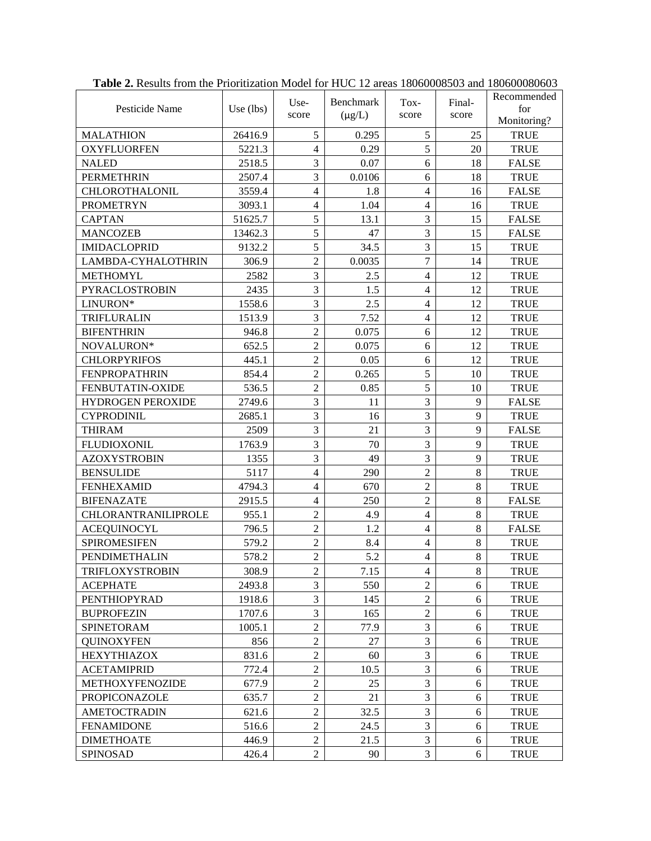| Pesticide Name           | Use $(lbs)$ | Use-<br>score  | Benchmark<br>$(\mu g/L)$ | Tox-<br>score  | Final-<br>score | Recommended<br>for<br>Monitoring? |
|--------------------------|-------------|----------------|--------------------------|----------------|-----------------|-----------------------------------|
| <b>MALATHION</b>         | 26416.9     | 5              | 0.295                    | 5              | 25              | <b>TRUE</b>                       |
| <b>OXYFLUORFEN</b>       | 5221.3      | $\overline{4}$ | 0.29                     | 5              | 20              | <b>TRUE</b>                       |
| <b>NALED</b>             | 2518.5      | 3              | 0.07                     | 6              | 18              | <b>FALSE</b>                      |
| <b>PERMETHRIN</b>        | 2507.4      | 3              | 0.0106                   | 6              | 18              | <b>TRUE</b>                       |
| CHLOROTHALONIL           | 3559.4      | $\overline{4}$ | 1.8                      | $\overline{4}$ | 16              | <b>FALSE</b>                      |
| <b>PROMETRYN</b>         | 3093.1      | $\overline{4}$ | 1.04                     | $\overline{4}$ | 16              | <b>TRUE</b>                       |
| <b>CAPTAN</b>            | 51625.7     | 5              | 13.1                     | 3              | 15              | <b>FALSE</b>                      |
| <b>MANCOZEB</b>          | 13462.3     | 5              | 47                       | 3              | 15              | <b>FALSE</b>                      |
| <b>IMIDACLOPRID</b>      | 9132.2      | 5              | 34.5                     | 3              | 15              | <b>TRUE</b>                       |
| LAMBDA-CYHALOTHRIN       | 306.9       | $\overline{2}$ | 0.0035                   | $\overline{7}$ | 14              | <b>TRUE</b>                       |
| <b>METHOMYL</b>          | 2582        | 3              | 2.5                      | $\overline{4}$ | 12              | <b>TRUE</b>                       |
| PYRACLOSTROBIN           | 2435        | 3              | 1.5                      | $\overline{4}$ | 12              | <b>TRUE</b>                       |
| LINURON*                 | 1558.6      | 3              | 2.5                      | $\overline{4}$ | 12              | <b>TRUE</b>                       |
| TRIFLURALIN              | 1513.9      | 3              | 7.52                     | $\overline{4}$ | 12              | <b>TRUE</b>                       |
| <b>BIFENTHRIN</b>        | 946.8       | $\overline{2}$ | 0.075                    | 6              | 12              | <b>TRUE</b>                       |
| NOVALURON*               | 652.5       | $\overline{2}$ | 0.075                    | 6              | 12              | <b>TRUE</b>                       |
| <b>CHLORPYRIFOS</b>      | 445.1       | $\overline{c}$ | 0.05                     | 6              | 12              | <b>TRUE</b>                       |
| <b>FENPROPATHRIN</b>     | 854.4       | $\overline{2}$ | 0.265                    | 5              | 10              | <b>TRUE</b>                       |
| FENBUTATIN-OXIDE         | 536.5       | $\overline{2}$ | 0.85                     | 5              | 10              | <b>TRUE</b>                       |
| <b>HYDROGEN PEROXIDE</b> | 2749.6      | 3              | 11                       | 3              | 9               | <b>FALSE</b>                      |
| <b>CYPRODINIL</b>        | 2685.1      | 3              | 16                       | 3              | 9               | <b>TRUE</b>                       |
| <b>THIRAM</b>            | 2509        | $\overline{3}$ | 21                       | 3              | 9               | <b>FALSE</b>                      |
| <b>FLUDIOXONIL</b>       | 1763.9      | 3              | 70                       | 3              | 9               | <b>TRUE</b>                       |
| <b>AZOXYSTROBIN</b>      | 1355        | 3              | 49                       | 3              | $\mathbf{Q}$    | <b>TRUE</b>                       |
| <b>BENSULIDE</b>         | 5117        | $\overline{4}$ | 290                      | $\overline{c}$ | $\,8\,$         | <b>TRUE</b>                       |
| <b>FENHEXAMID</b>        | 4794.3      | $\overline{4}$ | 670                      | $\overline{2}$ | 8               | <b>TRUE</b>                       |
| <b>BIFENAZATE</b>        | 2915.5      | $\overline{4}$ | 250                      | $\overline{2}$ | 8               | <b>FALSE</b>                      |
| CHLORANTRANILIPROLE      | 955.1       | $\overline{2}$ | 4.9                      | $\overline{4}$ | 8               | <b>TRUE</b>                       |
| <b>ACEQUINOCYL</b>       | 796.5       | $\overline{2}$ | 1.2                      | $\overline{4}$ | 8               | <b>FALSE</b>                      |
| <b>SPIROMESIFEN</b>      | 579.2       | $\overline{2}$ | 8.4                      | $\overline{4}$ | 8               | <b>TRUE</b>                       |
| PENDIMETHALIN            | 578.2       | $\overline{2}$ | 5.2                      | $\overline{4}$ | $\,8\,$         | <b>TRUE</b>                       |
| TRIFLOXYSTROBIN          | 308.9       | 2              | 7.15                     | 4              | 8               | TRUE                              |
| <b>ACEPHATE</b>          | 2493.8      | 3              | 550                      | $\overline{2}$ | 6               | <b>TRUE</b>                       |
| <b>PENTHIOPYRAD</b>      | 1918.6      | 3              | 145                      | $\overline{2}$ | 6               | <b>TRUE</b>                       |
| <b>BUPROFEZIN</b>        | 1707.6      | 3              | 165                      | $\overline{2}$ | 6               | <b>TRUE</b>                       |
| SPINETORAM               | 1005.1      | $\sqrt{2}$     | 77.9                     | 3              | 6               | <b>TRUE</b>                       |
| <b>QUINOXYFEN</b>        | 856         | $\overline{2}$ | 27                       | 3              | 6               | <b>TRUE</b>                       |
| <b>HEXYTHIAZOX</b>       | 831.6       | $\overline{2}$ | 60                       | 3              | 6               | <b>TRUE</b>                       |
| <b>ACETAMIPRID</b>       | 772.4       | $\mathfrak{2}$ | 10.5                     | 3              | 6               | <b>TRUE</b>                       |
| <b>METHOXYFENOZIDE</b>   | 677.9       | $\overline{2}$ | 25                       | 3              | 6               | <b>TRUE</b>                       |
| <b>PROPICONAZOLE</b>     | 635.7       | $\overline{2}$ | 21                       | $\overline{3}$ | 6               | <b>TRUE</b>                       |
| <b>AMETOCTRADIN</b>      | 621.6       | $\overline{2}$ | 32.5                     | 3              | 6               | <b>TRUE</b>                       |
| <b>FENAMIDONE</b>        | 516.6       | $\overline{2}$ | 24.5                     | 3              | 6               | <b>TRUE</b>                       |
| <b>DIMETHOATE</b>        | 446.9       | $\overline{2}$ | 21.5                     | $\overline{3}$ | 6               | <b>TRUE</b>                       |
| SPINOSAD                 | 426.4       | $\overline{2}$ | 90                       | $\overline{3}$ | 6               | TRUE                              |

**Table 2.** Results from the Prioritization Model for HUC 12 areas 18060008503 and 180600080603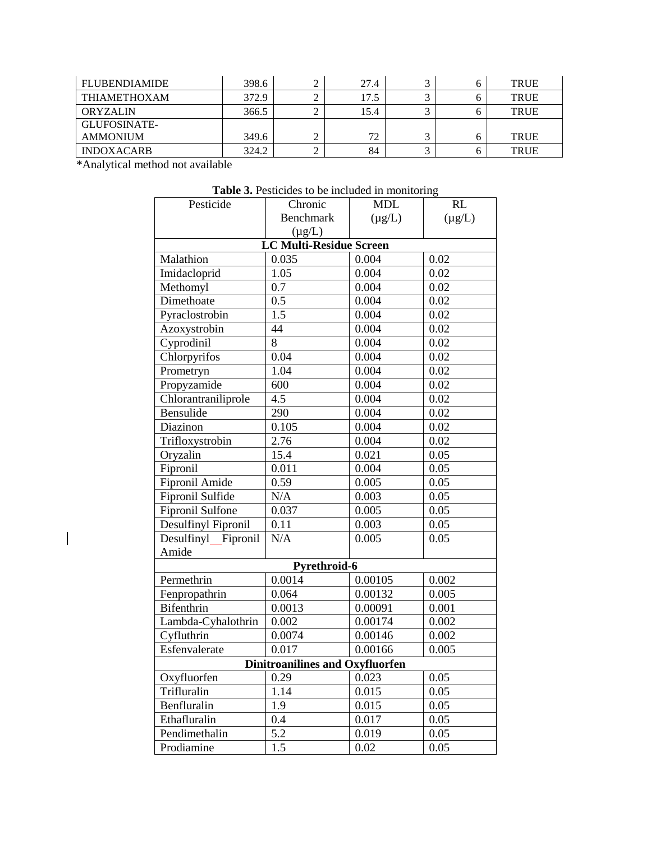| <b>FLUBENDIAMIDE</b> | 398.6 | 27.4 | ⌒ | <b>TRUE</b> |
|----------------------|-------|------|---|-------------|
| <b>THIAMETHOXAM</b>  | 372.9 | 17.5 |   | <b>TRUE</b> |
| <b>ORYZALIN</b>      | 366.5 | 15.4 |   | <b>TRUE</b> |
| GLUFOSINATE-         |       |      |   |             |
| <b>AMMONIUM</b>      | 349.6 | 72   |   | <b>TRUE</b> |
| <b>INDOXACARB</b>    | 324.2 | 84   |   | <b>TRUE</b> |

\*Analytical method not available

 $\overline{\phantom{a}}$ 

| Pesticide                              | Chronic                        | <b>MDL</b>  | RL          |  |  |  |
|----------------------------------------|--------------------------------|-------------|-------------|--|--|--|
|                                        | <b>Benchmark</b>               | $(\mu g/L)$ | $(\mu g/L)$ |  |  |  |
|                                        | $(\mu g/L)$                    |             |             |  |  |  |
|                                        | <b>LC Multi-Residue Screen</b> |             |             |  |  |  |
| Malathion                              | 0.035                          | 0.004       | 0.02        |  |  |  |
| Imidacloprid                           | 1.05                           | 0.004       | 0.02        |  |  |  |
| Methomyl                               | 0.7                            | 0.004       | 0.02        |  |  |  |
| Dimethoate                             | 0.5                            | 0.004       | 0.02        |  |  |  |
| Pyraclostrobin                         | 1.5                            | 0.004       | 0.02        |  |  |  |
| Azoxystrobin                           | 44                             | 0.004       | 0.02        |  |  |  |
| Cyprodinil                             | 8                              | 0.004       | 0.02        |  |  |  |
| Chlorpyrifos                           | 0.04                           | 0.004       | 0.02        |  |  |  |
| Prometryn                              | 1.04                           | 0.004       | 0.02        |  |  |  |
| Propyzamide                            | 600                            | 0.004       | 0.02        |  |  |  |
| Chlorantraniliprole                    | 4.5                            | 0.004       | 0.02        |  |  |  |
| Bensulide                              | 290                            | 0.004       | 0.02        |  |  |  |
| Diazinon                               | 0.105                          | 0.004       | 0.02        |  |  |  |
| Trifloxystrobin                        | 2.76                           | 0.004       | 0.02        |  |  |  |
| Oryzalin                               | 15.4                           | 0.021       | 0.05        |  |  |  |
| Fipronil                               | 0.011                          | 0.004       | 0.05        |  |  |  |
| Fipronil Amide                         | 0.59                           | 0.005       | 0.05        |  |  |  |
| Fipronil Sulfide                       | N/A                            | 0.003       | 0.05        |  |  |  |
| <b>Fipronil Sulfone</b>                | 0.037                          | 0.005       | 0.05        |  |  |  |
| Desulfinyl Fipronil                    | 0.11                           | 0.003       | 0.05        |  |  |  |
| Desulfinyl_Fipronil                    | N/A                            | 0.005       | 0.05        |  |  |  |
| Amide                                  |                                |             |             |  |  |  |
|                                        | Pyrethroid-6                   |             |             |  |  |  |
| Permethrin                             | 0.0014                         | 0.00105     | 0.002       |  |  |  |
| Fenpropathrin                          | 0.064                          | 0.00132     | 0.005       |  |  |  |
| Bifenthrin                             | 0.0013                         | 0.00091     | 0.001       |  |  |  |
| Lambda-Cyhalothrin                     | 0.002                          | 0.00174     | 0.002       |  |  |  |
| Cyfluthrin                             | 0.0074                         | 0.00146     | 0.002       |  |  |  |
| Esfenvalerate                          | 0.017                          | 0.00166     | 0.005       |  |  |  |
| <b>Dinitroanilines and Oxyfluorfen</b> |                                |             |             |  |  |  |
| Oxyfluorfen                            | 0.29                           | 0.023       | 0.05        |  |  |  |
| Trifluralin                            | 1.14                           | 0.015       | 0.05        |  |  |  |
| Benfluralin                            | 1.9                            | 0.015       | 0.05        |  |  |  |
| Ethafluralin                           | 0.4                            | 0.017       | 0.05        |  |  |  |
| Pendimethalin                          | 5.2                            | 0.019       | 0.05        |  |  |  |
| Prodiamine                             | 1.5                            | 0.02        | 0.05        |  |  |  |

**Table 3.** Pesticides to be included in monitoring